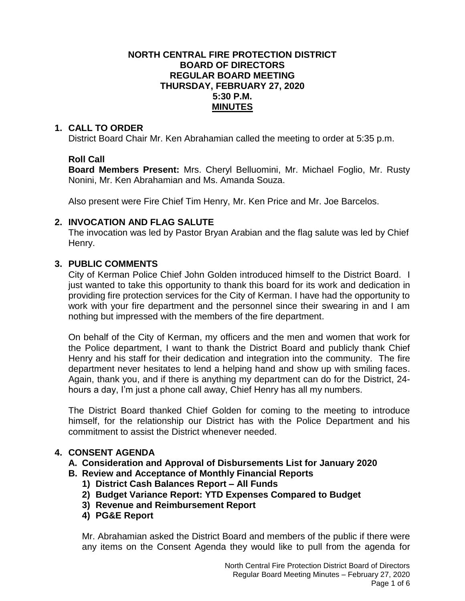## **NORTH CENTRAL FIRE PROTECTION DISTRICT BOARD OF DIRECTORS REGULAR BOARD MEETING THURSDAY, FEBRUARY 27, 2020 5:30 P.M. MINUTES**

## **1. CALL TO ORDER**

District Board Chair Mr. Ken Abrahamian called the meeting to order at 5:35 p.m.

# **Roll Call**

**Board Members Present:** Mrs. Cheryl Belluomini, Mr. Michael Foglio, Mr. Rusty Nonini, Mr. Ken Abrahamian and Ms. Amanda Souza.

Also present were Fire Chief Tim Henry, Mr. Ken Price and Mr. Joe Barcelos.

## **2. INVOCATION AND FLAG SALUTE**

The invocation was led by Pastor Bryan Arabian and the flag salute was led by Chief Henry.

# **3. PUBLIC COMMENTS**

City of Kerman Police Chief John Golden introduced himself to the District Board. I just wanted to take this opportunity to thank this board for its work and dedication in providing fire protection services for the City of Kerman. I have had the opportunity to work with your fire department and the personnel since their swearing in and I am nothing but impressed with the members of the fire department.

On behalf of the City of Kerman, my officers and the men and women that work for the Police department, I want to thank the District Board and publicly thank Chief Henry and his staff for their dedication and integration into the community. The fire department never hesitates to lend a helping hand and show up with smiling faces. Again, thank you, and if there is anything my department can do for the District, 24 hours a day, I'm just a phone call away, Chief Henry has all my numbers.

The District Board thanked Chief Golden for coming to the meeting to introduce himself, for the relationship our District has with the Police Department and his commitment to assist the District whenever needed.

# **4. CONSENT AGENDA**

- **A. Consideration and Approval of Disbursements List for January 2020**
- **B. Review and Acceptance of Monthly Financial Reports**
	- **1) District Cash Balances Report – All Funds**
	- **2) Budget Variance Report: YTD Expenses Compared to Budget**
	- **3) Revenue and Reimbursement Report**
	- **4) PG&E Report**

Mr. Abrahamian asked the District Board and members of the public if there were any items on the Consent Agenda they would like to pull from the agenda for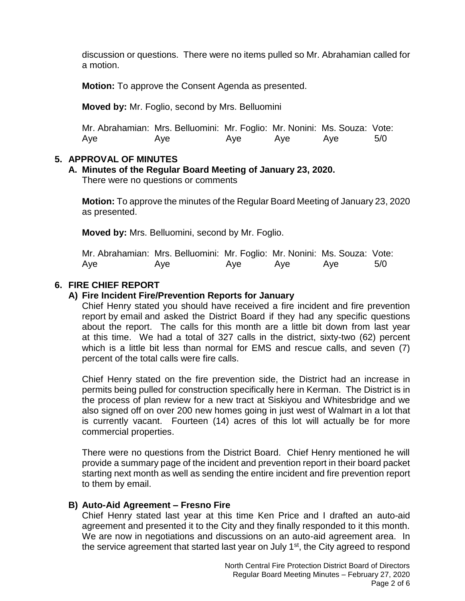discussion or questions. There were no items pulled so Mr. Abrahamian called for a motion.

**Motion:** To approve the Consent Agenda as presented.

**Moved by:** Mr. Foglio, second by Mrs. Belluomini

Mr. Abrahamian: Mrs. Belluomini: Mr. Foglio: Mr. Nonini: Ms. Souza: Vote: Aye Aye Aye Aye Aye 5/0

# **5. APPROVAL OF MINUTES**

# **A. Minutes of the Regular Board Meeting of January 23, 2020.**

There were no questions or comments

**Motion:** To approve the minutes of the Regular Board Meeting of January 23, 2020 as presented.

**Moved by:** Mrs. Belluomini, second by Mr. Foglio.

| Mr. Abrahamian: Mrs. Belluomini: Mr. Foglio: Mr. Nonini: Ms. Souza: Vote: |     |     |     |     |     |
|---------------------------------------------------------------------------|-----|-----|-----|-----|-----|
| Aye                                                                       | Aye | Aye | Aye | Ave | 5/0 |

# **6. FIRE CHIEF REPORT**

# **A) Fire Incident Fire/Prevention Reports for January**

Chief Henry stated you should have received a fire incident and fire prevention report by email and asked the District Board if they had any specific questions about the report. The calls for this month are a little bit down from last year at this time. We had a total of 327 calls in the district, sixty-two (62) percent which is a little bit less than normal for EMS and rescue calls, and seven (7) percent of the total calls were fire calls.

Chief Henry stated on the fire prevention side, the District had an increase in permits being pulled for construction specifically here in Kerman. The District is in the process of plan review for a new tract at Siskiyou and Whitesbridge and we also signed off on over 200 new homes going in just west of Walmart in a lot that is currently vacant. Fourteen (14) acres of this lot will actually be for more commercial properties.

There were no questions from the District Board. Chief Henry mentioned he will provide a summary page of the incident and prevention report in their board packet starting next month as well as sending the entire incident and fire prevention report to them by email.

# **B) Auto-Aid Agreement – Fresno Fire**

Chief Henry stated last year at this time Ken Price and I drafted an auto-aid agreement and presented it to the City and they finally responded to it this month. We are now in negotiations and discussions on an auto-aid agreement area. In the service agreement that started last year on July 1<sup>st</sup>, the City agreed to respond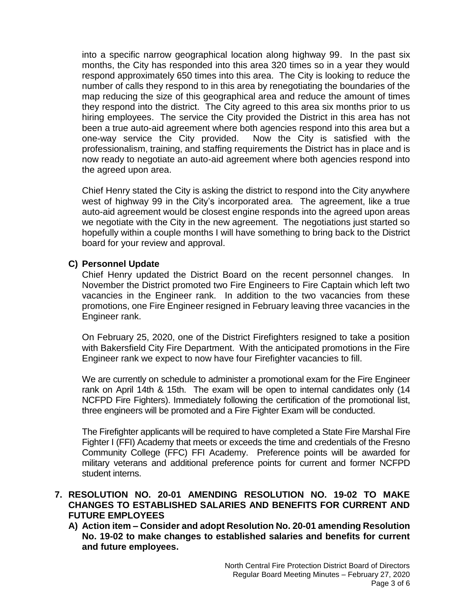into a specific narrow geographical location along highway 99. In the past six months, the City has responded into this area 320 times so in a year they would respond approximately 650 times into this area. The City is looking to reduce the number of calls they respond to in this area by renegotiating the boundaries of the map reducing the size of this geographical area and reduce the amount of times they respond into the district. The City agreed to this area six months prior to us hiring employees. The service the City provided the District in this area has not been a true auto-aid agreement where both agencies respond into this area but a one-way service the City provided. Now the City is satisfied with the professionalism, training, and staffing requirements the District has in place and is now ready to negotiate an auto-aid agreement where both agencies respond into the agreed upon area.

Chief Henry stated the City is asking the district to respond into the City anywhere west of highway 99 in the City's incorporated area. The agreement, like a true auto-aid agreement would be closest engine responds into the agreed upon areas we negotiate with the City in the new agreement. The negotiations just started so hopefully within a couple months I will have something to bring back to the District board for your review and approval.

## **C) Personnel Update**

Chief Henry updated the District Board on the recent personnel changes. In November the District promoted two Fire Engineers to Fire Captain which left two vacancies in the Engineer rank. In addition to the two vacancies from these promotions, one Fire Engineer resigned in February leaving three vacancies in the Engineer rank.

On February 25, 2020, one of the District Firefighters resigned to take a position with Bakersfield City Fire Department. With the anticipated promotions in the Fire Engineer rank we expect to now have four Firefighter vacancies to fill.

We are currently on schedule to administer a promotional exam for the Fire Engineer rank on April 14th & 15th. The exam will be open to internal candidates only (14 NCFPD Fire Fighters). Immediately following the certification of the promotional list, three engineers will be promoted and a Fire Fighter Exam will be conducted.

The Firefighter applicants will be required to have completed a State Fire Marshal Fire Fighter I (FFI) Academy that meets or exceeds the time and credentials of the Fresno Community College (FFC) FFI Academy. Preference points will be awarded for military veterans and additional preference points for current and former NCFPD student interns.

# **7. RESOLUTION NO. 20-01 AMENDING RESOLUTION NO. 19-02 TO MAKE CHANGES TO ESTABLISHED SALARIES AND BENEFITS FOR CURRENT AND FUTURE EMPLOYEES**

**A) Action item – Consider and adopt Resolution No. 20-01 amending Resolution No. 19-02 to make changes to established salaries and benefits for current and future employees.**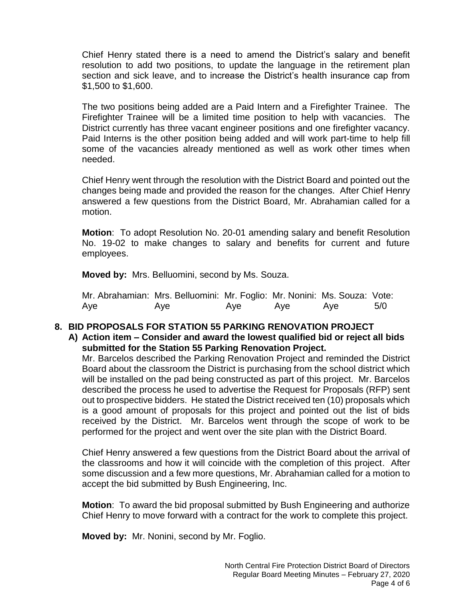Chief Henry stated there is a need to amend the District's salary and benefit resolution to add two positions, to update the language in the retirement plan section and sick leave, and to increase the District's health insurance cap from \$1,500 to \$1,600.

The two positions being added are a Paid Intern and a Firefighter Trainee. The Firefighter Trainee will be a limited time position to help with vacancies. The District currently has three vacant engineer positions and one firefighter vacancy. Paid Interns is the other position being added and will work part-time to help fill some of the vacancies already mentioned as well as work other times when needed.

Chief Henry went through the resolution with the District Board and pointed out the changes being made and provided the reason for the changes. After Chief Henry answered a few questions from the District Board, Mr. Abrahamian called for a motion.

**Motion**: To adopt Resolution No. 20-01 amending salary and benefit Resolution No. 19-02 to make changes to salary and benefits for current and future employees.

**Moved by:** Mrs. Belluomini, second by Ms. Souza.

| Mr. Abrahamian: Mrs. Belluomini: Mr. Foglio: Mr. Nonini: Ms. Souza: Vote: |     |     |     |     |     |
|---------------------------------------------------------------------------|-----|-----|-----|-----|-----|
| Aye                                                                       | Aye | Aye | Aye | Ave | 5/0 |

## **8. BID PROPOSALS FOR STATION 55 PARKING RENOVATION PROJECT**

# **A) Action item – Consider and award the lowest qualified bid or reject all bids submitted for the Station 55 Parking Renovation Project.**

Mr. Barcelos described the Parking Renovation Project and reminded the District Board about the classroom the District is purchasing from the school district which will be installed on the pad being constructed as part of this project. Mr. Barcelos described the process he used to advertise the Request for Proposals (RFP) sent out to prospective bidders. He stated the District received ten (10) proposals which is a good amount of proposals for this project and pointed out the list of bids received by the District. Mr. Barcelos went through the scope of work to be performed for the project and went over the site plan with the District Board.

Chief Henry answered a few questions from the District Board about the arrival of the classrooms and how it will coincide with the completion of this project. After some discussion and a few more questions, Mr. Abrahamian called for a motion to accept the bid submitted by Bush Engineering, Inc.

**Motion**: To award the bid proposal submitted by Bush Engineering and authorize Chief Henry to move forward with a contract for the work to complete this project.

**Moved by:** Mr. Nonini, second by Mr. Foglio.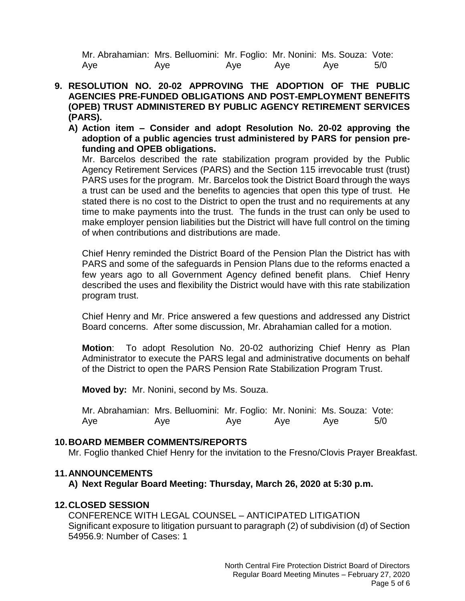Mr. Abrahamian: Mrs. Belluomini: Mr. Foglio: Mr. Nonini: Ms. Souza: Vote: Aye Aye Aye Aye Aye 5/0

- **9. RESOLUTION NO. 20-02 APPROVING THE ADOPTION OF THE PUBLIC AGENCIES PRE-FUNDED OBLIGATIONS AND POST-EMPLOYMENT BENEFITS (OPEB) TRUST ADMINISTERED BY PUBLIC AGENCY RETIREMENT SERVICES (PARS).**
	- **A) Action item – Consider and adopt Resolution No. 20-02 approving the adoption of a public agencies trust administered by PARS for pension prefunding and OPEB obligations.**

Mr. Barcelos described the rate stabilization program provided by the Public Agency Retirement Services (PARS) and the Section 115 irrevocable trust (trust) PARS uses for the program. Mr. Barcelos took the District Board through the ways a trust can be used and the benefits to agencies that open this type of trust. He stated there is no cost to the District to open the trust and no requirements at any time to make payments into the trust. The funds in the trust can only be used to make employer pension liabilities but the District will have full control on the timing of when contributions and distributions are made.

Chief Henry reminded the District Board of the Pension Plan the District has with PARS and some of the safeguards in Pension Plans due to the reforms enacted a few years ago to all Government Agency defined benefit plans. Chief Henry described the uses and flexibility the District would have with this rate stabilization program trust.

Chief Henry and Mr. Price answered a few questions and addressed any District Board concerns. After some discussion, Mr. Abrahamian called for a motion.

**Motion**: To adopt Resolution No. 20-02 authorizing Chief Henry as Plan Administrator to execute the PARS legal and administrative documents on behalf of the District to open the PARS Pension Rate Stabilization Program Trust.

**Moved by:** Mr. Nonini, second by Ms. Souza.

| Mr. Abrahamian: Mrs. Belluomini: Mr. Foglio: Mr. Nonini: Ms. Souza: Vote: |     |     |     |     |     |
|---------------------------------------------------------------------------|-----|-----|-----|-----|-----|
| Aye                                                                       | Aye | Aye | Aye | Ave | 5/0 |

## **10.BOARD MEMBER COMMENTS/REPORTS**

Mr. Foglio thanked Chief Henry for the invitation to the Fresno/Clovis Prayer Breakfast.

## **11.ANNOUNCEMENTS**

**A) Next Regular Board Meeting: Thursday, March 26, 2020 at 5:30 p.m.**

## **12.CLOSED SESSION**

CONFERENCE WITH LEGAL COUNSEL – ANTICIPATED LITIGATION Significant exposure to litigation pursuant to paragraph (2) of subdivision (d) of Section 54956.9: Number of Cases: 1